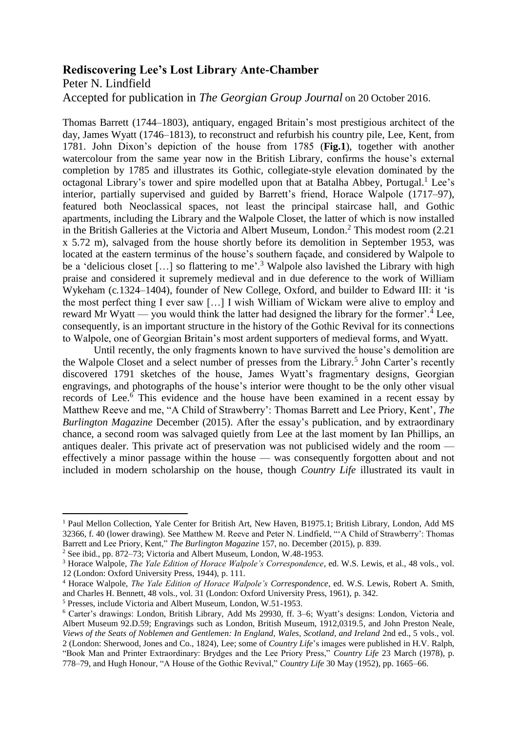## **Rediscovering Lee's Lost Library Ante-Chamber**

Peter N. Lindfield

 $\overline{a}$ 

Accepted for publication in *The Georgian Group Journal* on 20 October 2016.

Thomas Barrett (1744–1803), antiquary, engaged Britain's most prestigious architect of the day, James Wyatt (1746–1813), to reconstruct and refurbish his country pile, Lee, Kent, from 1781. John Dixon's depiction of the house from 1785 (**Fig.1**), together with another watercolour from the same year now in the British Library, confirms the house's external completion by 1785 and illustrates its Gothic, collegiate-style elevation dominated by the octagonal Library's tower and spire modelled upon that at Batalha Abbey, Portugal.<sup>1</sup> Lee's interior, partially supervised and guided by Barrett's friend, Horace Walpole (1717–97), featured both Neoclassical spaces, not least the principal staircase hall, and Gothic apartments, including the Library and the Walpole Closet, the latter of which is now installed in the British Galleries at the Victoria and Albert Museum, London. <sup>2</sup> This modest room (2.21 x 5.72 m), salvaged from the house shortly before its demolition in September 1953, was located at the eastern terminus of the house's southern façade, and considered by Walpole to be a 'delicious closet  $[...]$  so flattering to me'.<sup>3</sup> Walpole also lavished the Library with high praise and considered it supremely medieval and in due deference to the work of William Wykeham (c*.*1324–1404), founder of New College, Oxford, and builder to Edward III: it 'is the most perfect thing I ever saw […] I wish William of Wickam were alive to employ and reward Mr Wyatt — you would think the latter had designed the library for the former'.<sup>4</sup> Lee, consequently, is an important structure in the history of the Gothic Revival for its connections to Walpole, one of Georgian Britain's most ardent supporters of medieval forms, and Wyatt.

Until recently, the only fragments known to have survived the house's demolition are the Walpole Closet and a select number of presses from the Library.<sup>5</sup> John Carter's recently discovered 1791 sketches of the house, James Wyatt's fragmentary designs, Georgian engravings, and photographs of the house's interior were thought to be the only other visual records of Lee. <sup>6</sup> This evidence and the house have been examined in a recent essay by Matthew Reeve and me, "A Child of Strawberry': Thomas Barrett and Lee Priory, Kent', *The Burlington Magazine* December (2015). After the essay's publication, and by extraordinary chance, a second room was salvaged quietly from Lee at the last moment by Ian Phillips, an antiques dealer. This private act of preservation was not publicised widely and the room effectively a minor passage within the house — was consequently forgotten about and not included in modern scholarship on the house, though *Country Life* illustrated its vault in

<sup>&</sup>lt;sup>1</sup> Paul Mellon Collection, Yale Center for British Art, New Haven, B1975.1; British Library, London, Add MS 32366, f. 40 (lower drawing). See Matthew M. Reeve and Peter N. Lindfield, "'A Child of Strawberry': Thomas Barrett and Lee Priory, Kent," *The Burlington Magazine* 157, no. December (2015), p. 839.

<sup>2</sup> See ibid., pp. 872–73; Victoria and Albert Museum, London, W.48-1953.

<sup>3</sup> Horace Walpole, *The Yale Edition of Horace Walpole's Correspondence*, ed. W.S. Lewis, et al., 48 vols., vol. 12 (London: Oxford University Press, 1944), p. 111.

<sup>4</sup> Horace Walpole, *The Yale Edition of Horace Walpole's Correspondence*, ed. W.S. Lewis, Robert A. Smith, and Charles H. Bennett, 48 vols., vol. 31 (London: Oxford University Press, 1961), p. 342.

<sup>5</sup> Presses, include Victoria and Albert Museum, London, W.51-1953.

<sup>6</sup> Carter's drawings: London, British Library, Add Ms 29930, ff. 3–6; Wyatt's designs: London, Victoria and Albert Museum 92.D.59; Engravings such as London, British Museum, 1912,0319.5, and John Preston Neale, *Views of the Seats of Noblemen and Gentlemen: In England, Wales, Scotland, and Ireland* 2nd ed., 5 vols., vol. 2 (London: Sherwood, Jones and Co., 1824), Lee; some of *Country Life*'s images were published in H.V. Ralph, "Book Man and Printer Extraordinary: Brydges and the Lee Priory Press," *Country Life* 23 March (1978), p. 778–79, and Hugh Honour, "A House of the Gothic Revival," *Country Life* 30 May (1952), pp. 1665–66.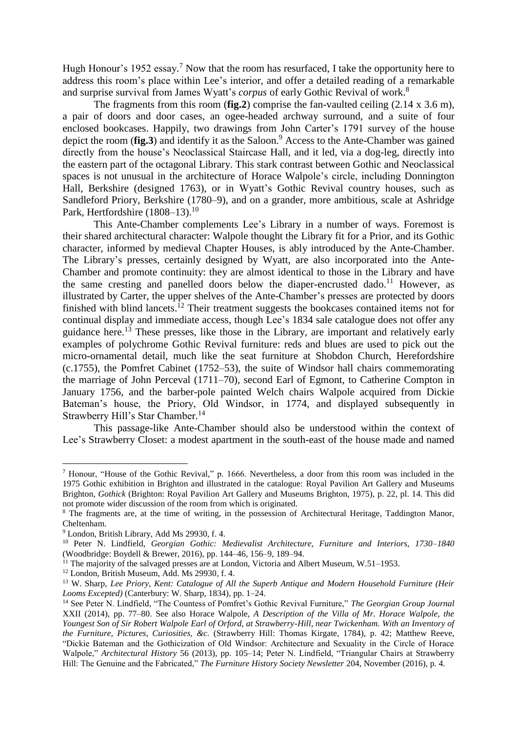Hugh Honour's 1952 essay.<sup>7</sup> Now that the room has resurfaced, I take the opportunity here to address this room's place within Lee's interior, and offer a detailed reading of a remarkable and surprise survival from James Wyatt's *corpus* of early Gothic Revival of work. 8

The fragments from this room (**fig.2**) comprise the fan-vaulted ceiling (2.14 x 3.6 m), a pair of doors and door cases, an ogee-headed archway surround, and a suite of four enclosed bookcases. Happily, two drawings from John Carter's 1791 survey of the house depict the room (**fig.3**) and identify it as the Saloon.<sup>9</sup> Access to the Ante-Chamber was gained directly from the house's Neoclassical Staircase Hall, and it led, via a dog-leg, directly into the eastern part of the octagonal Library. This stark contrast between Gothic and Neoclassical spaces is not unusual in the architecture of Horace Walpole's circle, including Donnington Hall, Berkshire (designed 1763), or in Wyatt's Gothic Revival country houses, such as Sandleford Priory, Berkshire (1780–9), and on a grander, more ambitious, scale at Ashridge Park, Hertfordshire (1808–13).<sup>10</sup>

This Ante-Chamber complements Lee's Library in a number of ways. Foremost is their shared architectural character: Walpole thought the Library fit for a Prior, and its Gothic character, informed by medieval Chapter Houses, is ably introduced by the Ante-Chamber. The Library's presses, certainly designed by Wyatt, are also incorporated into the Ante-Chamber and promote continuity: they are almost identical to those in the Library and have the same cresting and panelled doors below the diaper-encrusted dado.<sup>11</sup> However, as illustrated by Carter, the upper shelves of the Ante-Chamber's presses are protected by doors finished with blind lancets.<sup>12</sup> Their treatment suggests the bookcases contained items not for continual display and immediate access, though Lee's 1834 sale catalogue does not offer any guidance here.<sup>13</sup> These presses, like those in the Library, are important and relatively early examples of polychrome Gothic Revival furniture: reds and blues are used to pick out the micro-ornamental detail, much like the seat furniture at Shobdon Church, Herefordshire (c.1755), the Pomfret Cabinet (1752–53), the suite of Windsor hall chairs commemorating the marriage of John Perceval (1711–70), second Earl of Egmont, to Catherine Compton in January 1756, and the barber-pole painted Welch chairs Walpole acquired from Dickie Bateman's house, the Priory, Old Windsor, in 1774, and displayed subsequently in Strawberry Hill's Star Chamber.<sup>14</sup>

This passage-like Ante-Chamber should also be understood within the context of Lee's Strawberry Closet: a modest apartment in the south-east of the house made and named

 $\overline{a}$ 

<sup>7</sup> Honour, "House of the Gothic Revival," p. 1666. Nevertheless, a door from this room was included in the 1975 Gothic exhibition in Brighton and illustrated in the catalogue: Royal Pavilion Art Gallery and Museums Brighton, *Gothick* (Brighton: Royal Pavilion Art Gallery and Museums Brighton, 1975), p. 22, pl. 14. This did not promote wider discussion of the room from which is originated.

<sup>&</sup>lt;sup>8</sup> The fragments are, at the time of writing, in the possession of Architectural Heritage, Taddington Manor, Cheltenham.

<sup>9</sup> London, British Library, Add Ms 29930, f. 4.

<sup>10</sup> Peter N. Lindfield, *Georgian Gothic: Medievalist Architecture, Furniture and Interiors, 1730–1840* (Woodbridge: Boydell & Brewer, 2016), pp. 144–46, 156–9, 189–94.

<sup>&</sup>lt;sup>11</sup> The majority of the salvaged presses are at London, Victoria and Albert Museum,  $W.51-1953$ .

<sup>12</sup> London, British Museum, Add. Ms 29930, f. 4.

<sup>13</sup> W. Sharp, *Lee Priory, Kent: Catalogue of All the Superb Antique and Modern Household Furniture (Heir Looms Excepted)* (Canterbury: W. Sharp, 1834), pp. 1–24.

<sup>14</sup> See Peter N. Lindfield, "The Countess of Pomfret's Gothic Revival Furniture," *The Georgian Group Journal* XXII (2014), pp. 77–80. See also Horace Walpole, *A Description of the Villa of Mr. Horace Walpole, the Youngest Son of Sir Robert Walpole Earl of Orford, at Strawberry-Hill, near Twickenham. With an Inventory of the Furniture, Pictures, Curiosities, &c.* (Strawberry Hill: Thomas Kirgate, 1784), p. 42; Matthew Reeve, "Dickie Bateman and the Gothicization of Old Windsor: Architecture and Sexuality in the Circle of Horace Walpole," *Architectural History* 56 (2013), pp. 105–14; Peter N. Lindfield, "Triangular Chairs at Strawberry Hill: The Genuine and the Fabricated," *The Furniture History Society Newsletter* 204, November (2016), p. 4.